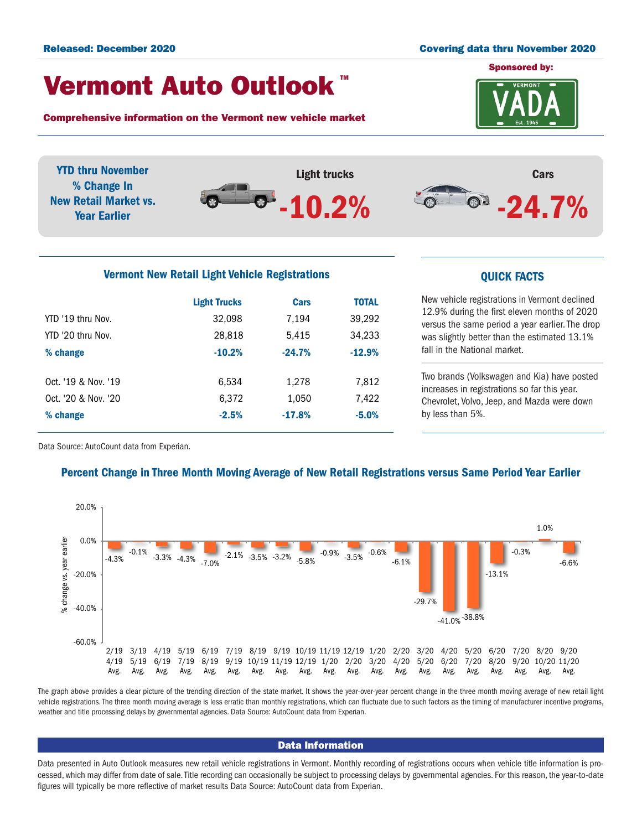### Released: December 2020 Covering data thru November 2020

## Vermont Auto Outlook TM

Comprehensive information on the Vermont new vehicle market



YTD thru November Light trucks Cars % Change In  $-24.7%$  $\bullet$ New Retail Market vs. -10.2% Year Earlier

### Vermont New Retail Light Vehicle Registrations **COVID-10** COVICK FACTS

|                     | <b>Light Trucks</b> | <b>Cars</b> | <b>TOTAL</b> |  |
|---------------------|---------------------|-------------|--------------|--|
| YTD '19 thru Nov.   | 32,098              | 7,194       | 39,292       |  |
| YTD '20 thru Nov.   | 28,818              | 5,415       | 34,233       |  |
| % change            | $-10.2%$            | $-24.7%$    | $-12.9%$     |  |
|                     |                     |             |              |  |
| Oct. '19 & Nov. '19 | 6.534               | 1,278       | 7,812        |  |
| Oct. '20 & Nov. '20 | 6,372               | 1,050       | 7,422        |  |
| % change            | $-2.5%$             | $-17.8%$    | $-5.0%$      |  |
|                     |                     |             |              |  |

New vehicle registrations in Vermont declined 12.9% during the first eleven months of 2020 versus the same period a year earlier. The drop was slightly better than the estimated 13.1% fall in the National market.

Two brands (Volkswagen and Kia) have posted increases in registrations so far this year. Chevrolet, Volvo, Jeep, and Mazda were down by less than 5%.

Data Source: AutoCount data from Experian.

### Percent Change in Three Month Moving Average of New Retail Registrations versus Same Period Year Earlier



The graph above provides a clear picture of the trending direction of the state market. It shows the year-over-year percent change in the three month moving average of new retail light vehicle registrations. The three month moving average is less erratic than monthly registrations, which can fluctuate due to such factors as the timing of manufacturer incentive programs, weather and title processing delays by governmental agencies. Data Source: AutoCount data from Experian.

### Data Information

Data presented in Auto Outlook measures new retail vehicle registrations in Vermont. Monthly recording of registrations occurs when vehicle title information is processed, which may differ from date of sale. Title recording can occasionally be subject to processing delays by governmental agencies. For this reason, the year-to-date figures will typically be more reflective of market results Data Source: AutoCount data from Experian.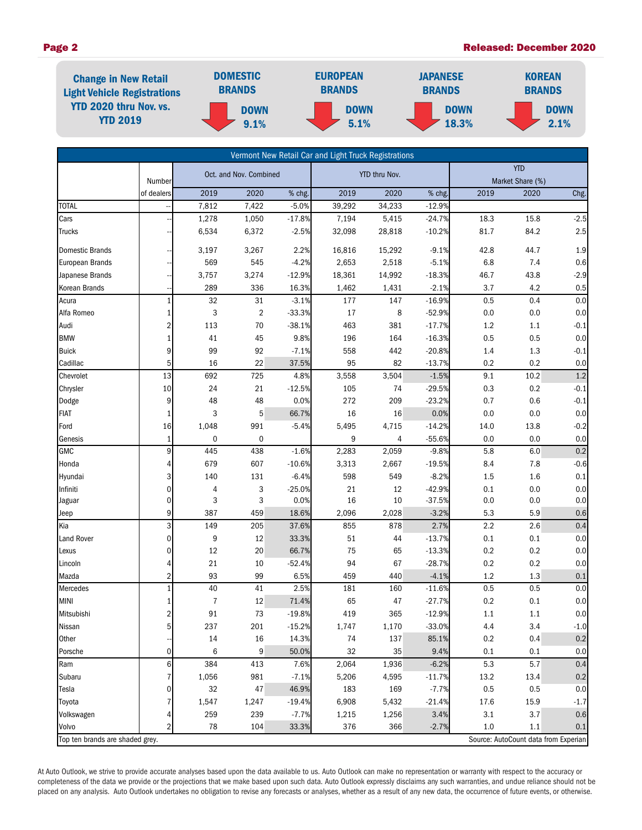

|                                 |                      |                        |                |               | Vermont New Retail Car and Light Truck Registrations |            |          |      |                                      |         |
|---------------------------------|----------------------|------------------------|----------------|---------------|------------------------------------------------------|------------|----------|------|--------------------------------------|---------|
|                                 |                      | Oct. and Nov. Combined |                | YTD thru Nov. |                                                      | <b>YTD</b> |          |      |                                      |         |
|                                 | Number<br>of dealers | 2019                   | 2020           | % chg.        | 2019                                                 | 2020       | % chg.   | 2019 | Market Share (%)<br>2020             |         |
| <b>TOTAL</b>                    |                      | 7,812                  | 7,422          | $-5.0%$       | 39,292                                               | 34,233     | $-12.9%$ |      |                                      | Chg.    |
| Cars                            |                      | 1,278                  | 1,050          | $-17.8%$      | 7,194                                                | 5,415      | $-24.7%$ | 18.3 | 15.8                                 | $-2.5$  |
| <b>Trucks</b>                   |                      | 6,534                  | 6,372          | $-2.5%$       | 32,098                                               | 28,818     | $-10.2%$ | 81.7 | 84.2                                 | 2.5     |
|                                 |                      |                        |                |               |                                                      |            |          |      |                                      |         |
| <b>Domestic Brands</b>          |                      | 3,197                  | 3,267          | 2.2%          | 16,816                                               | 15,292     | $-9.1%$  | 42.8 | 44.7                                 | 1.9     |
| <b>European Brands</b>          |                      | 569                    | 545            | $-4.2%$       | 2,653                                                | 2,518      | $-5.1%$  | 6.8  | 7.4                                  | 0.6     |
| Japanese Brands                 |                      | 3,757                  | 3,274          | $-12.9%$      | 18,361                                               | 14,992     | $-18.3%$ | 46.7 | 43.8                                 | $-2.9$  |
| Korean Brands                   |                      | 289                    | 336            | 16.3%         | 1,462                                                | 1,431      | $-2.1%$  | 3.7  | 4.2                                  | 0.5     |
| Acura                           | 1                    | 32                     | 31             | $-3.1%$       | 177                                                  | 147        | $-16.9%$ | 0.5  | 0.4                                  | 0.0     |
| Alfa Romeo                      | 1                    | 3                      | $\overline{2}$ | $-33.3%$      | 17                                                   | 8          | $-52.9%$ | 0.0  | 0.0                                  | 0.0     |
| Audi                            | 2                    | 113                    | 70             | $-38.1%$      | 463                                                  | 381        | $-17.7%$ | 1.2  | 1.1                                  | $-0.1$  |
| <b>BMW</b>                      | 1                    | 41                     | 45             | 9.8%          | 196                                                  | 164        | $-16.3%$ | 0.5  | 0.5                                  | 0.0     |
| <b>Buick</b>                    | 9                    | 99                     | 92             | $-7.1%$       | 558                                                  | 442        | $-20.8%$ | 1.4  | 1.3                                  | $-0.1$  |
| Cadillac                        | 5                    | 16                     | 22             | 37.5%         | 95                                                   | 82         | $-13.7%$ | 0.2  | 0.2                                  | 0.0     |
| Chevrolet                       | 13                   | 692                    | 725            | 4.8%          | 3,558                                                | 3,504      | $-1.5%$  | 9.1  | 10.2                                 | 1.2     |
| Chrysler                        | 10                   | 24                     | 21             | $-12.5%$      | 105                                                  | 74         | $-29.5%$ | 0.3  | 0.2                                  | $-0.1$  |
| Dodge                           | 9                    | 48                     | 48             | 0.0%          | 272                                                  | 209        | $-23.2%$ | 0.7  | 0.6                                  | $-0.1$  |
| <b>FIAT</b>                     | 1                    | 3                      | 5              | 66.7%         | 16                                                   | 16         | 0.0%     | 0.0  | 0.0                                  | 0.0     |
| Ford                            | 16                   | 1,048                  | 991            | $-5.4%$       | 5,495                                                | 4,715      | $-14.2%$ | 14.0 | 13.8                                 | $-0.2$  |
| Genesis                         | $\mathbf{1}$         | 0                      | 0              |               | 9                                                    | 4          | $-55.6%$ | 0.0  | 0.0                                  | 0.0     |
| <b>GMC</b>                      | 9                    | 445                    | 438            | $-1.6%$       | 2,283                                                | 2,059      | $-9.8%$  | 5.8  | 6.0                                  | 0.2     |
| Honda                           | 4                    | 679                    | 607            | $-10.6%$      | 3,313                                                | 2,667      | $-19.5%$ | 8.4  | 7.8                                  | $-0.6$  |
| Hyundai                         | 3                    | 140                    | 131            | $-6.4%$       | 598                                                  | 549        | $-8.2%$  | 1.5  | 1.6                                  | $0.1\,$ |
| Infiniti                        | 0                    | 4                      | 3              | $-25.0%$      | 21                                                   | 12         | $-42.9%$ | 0.1  | 0.0                                  | 0.0     |
| Jaguar                          | 0                    | 3                      | 3              | 0.0%          | 16                                                   | 10         | $-37.5%$ | 0.0  | 0.0                                  | $0.0\,$ |
| Jeep                            | 9                    | 387                    | 459            | 18.6%         | 2,096                                                | 2,028      | $-3.2%$  | 5.3  | 5.9                                  | 0.6     |
| Kia                             | 3                    | 149                    | 205            | 37.6%         | 855                                                  | 878        | 2.7%     | 2.2  | 2.6                                  | 0.4     |
| Land Rover                      | 0                    | 9                      | 12             | 33.3%         | 51                                                   | 44         | $-13.7%$ | 0.1  | 0.1                                  | 0.0     |
| Lexus                           | 0                    | 12                     | 20             | 66.7%         | 75                                                   | 65         | $-13.3%$ | 0.2  | 0.2                                  | $0.0\,$ |
| Lincoln                         | 4                    | 21                     | 10             | $-52.4%$      | 94                                                   | 67         | $-28.7%$ | 0.2  | 0.2                                  | 0.0     |
| Mazda                           | 2                    | 93                     | 99             | 6.5%          | 459                                                  | 440        | $-4.1%$  | 1.2  | 1.3                                  | 0.1     |
| Mercedes                        |                      | 40                     | 41             | 2.5%          | 181                                                  | 160        | $-11.6%$ | 0.5  | 0.5                                  | 0.0     |
| <b>MINI</b>                     | 1                    | 7                      | 12             | 71.4%         | 65                                                   | 47         | $-27.7%$ | 0.2  | $0.1\,$                              | $0.0\,$ |
| Mitsubishi                      | 2                    | 91                     | 73             | $-19.8%$      | 419                                                  | 365        | $-12.9%$ | 1.1  | 1.1                                  | $0.0\,$ |
| Nissan                          | 5                    | 237                    | 201            | $-15.2%$      | 1,747                                                | 1,170      | $-33.0%$ | 4.4  | 3.4                                  | $-1.0$  |
| Other                           |                      | $14\,$                 | 16             | 14.3%         | 74                                                   | 137        | 85.1%    | 0.2  | 0.4                                  | $0.2\,$ |
| Porsche                         | 0                    | 6                      | 9              | 50.0%         | 32                                                   | 35         | 9.4%     | 0.1  | 0.1                                  | 0.0     |
| Ram                             | 6                    | 384                    | 413            | 7.6%          | 2,064                                                | 1,936      | $-6.2%$  | 5.3  | 5.7                                  | 0.4     |
| Subaru                          |                      | 1,056                  | 981            | $-7.1%$       | 5,206                                                | 4,595      | $-11.7%$ | 13.2 | 13.4                                 | 0.2     |
| Tesla                           | 0                    | 32                     | 47             | 46.9%         | 183                                                  | 169        | $-7.7%$  | 0.5  | 0.5                                  | $0.0\,$ |
| Toyota                          |                      | 1,547                  | 1,247          | $-19.4%$      | 6,908                                                | 5,432      | $-21.4%$ | 17.6 | 15.9                                 | $-1.7$  |
| Volkswagen                      |                      | 259                    | 239            | $-7.7%$       | 1,215                                                | 1,256      | 3.4%     | 3.1  | 3.7                                  | 0.6     |
| Volvo                           | 2                    | 78                     | 104            | 33.3%         | 376                                                  | 366        | $-2.7%$  | 1.0  | 1.1                                  | 0.1     |
| Top ten brands are shaded grey. |                      |                        |                |               |                                                      |            |          |      | Source: AutoCount data from Experian |         |

At Auto Outlook, we strive to provide accurate analyses based upon the data available to us. Auto Outlook can make no representation or warranty with respect to the accuracy or completeness of the data we provide or the projections that we make based upon such data. Auto Outlook expressly disclaims any such warranties, and undue reliance should not be placed on any analysis. Auto Outlook undertakes no obligation to revise any forecasts or analyses, whether as a result of any new data, the occurrence of future events, or otherwise.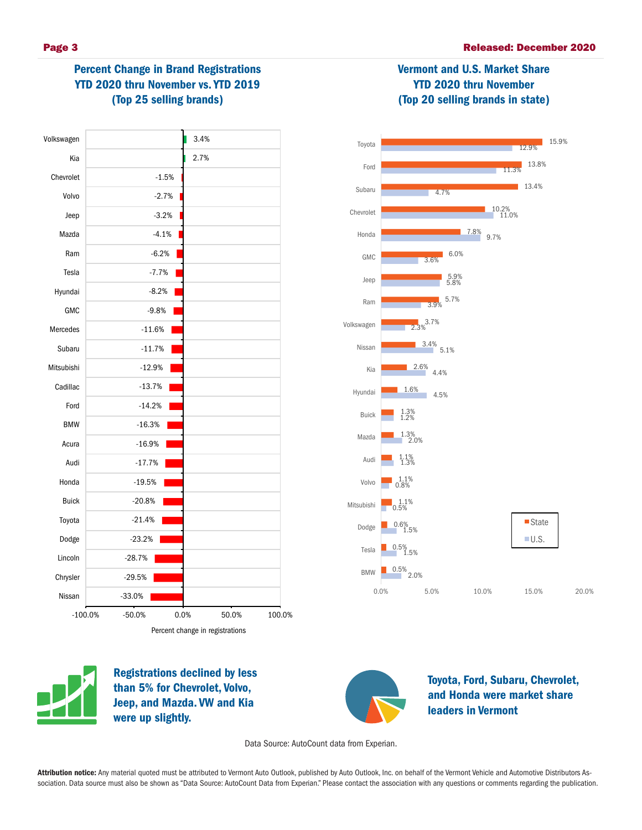Vermont and U.S. Market Share YTD 2020 thru November (Top 20 selling brands in state)

# Percent Change in Brand Registrations YTD 2020 thru November vs. YTD 2019 (Top 25 selling brands)







Registrations declined by less than 5% for Chevrolet, Volvo, Jeep, and Mazda. VW and Kia were up slightly.



Toyota, Ford, Subaru, Chevrolet, and Honda were market share leaders in Vermont

Data Source: AutoCount data from Experian.

Attribution notice: Any material quoted must be attributed to Vermont Auto Outlook, published by Auto Outlook, Inc. on behalf of the Vermont Vehicle and Automotive Distributors Association. Data source must also be shown as "Data Source: AutoCount Data from Experian." Please contact the association with any questions or comments regarding the publication.